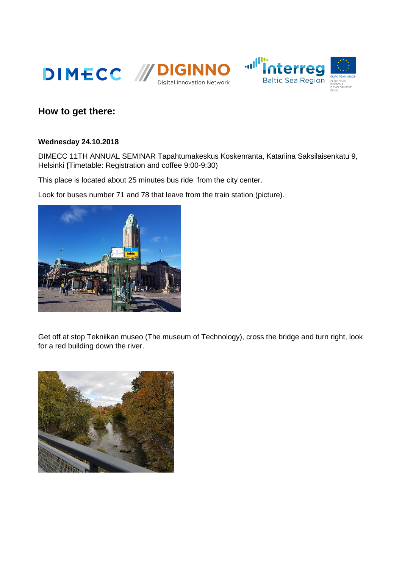





## **How to get there:**

## **Wednesday 24.10.2018**

DIMECC 11TH ANNUAL SEMINAR Tapahtumakeskus Koskenranta, Katariina Saksilaisenkatu 9, Helsinki **(**Timetable: Registration and coffee 9:00-9:30)

This place is located about 25 minutes bus ride from the city center.

Look for buses number 71 and 78 that leave from the train station (picture).



Get off at stop Tekniikan museo (The museum of Technology), cross the bridge and turn right, look for a red building down the river.